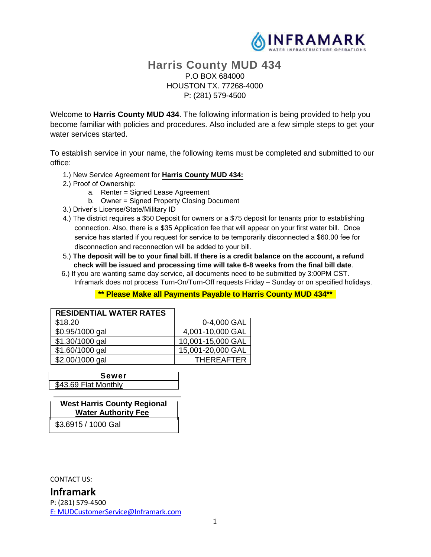

# **Harris County MUD 434** P.O BOX 684000 HOUSTON TX. 77268-4000 P: (281) 579-4500

Welcome to **Harris County MUD 434**. The following information is being provided to help you become familiar with policies and procedures. Also included are a few simple steps to get your water services started.

To establish service in your name, the following items must be completed and submitted to our office:

- 1.) New Service Agreement for **Harris County MUD 434:**
- 2.) Proof of Ownership:
	- a. Renter = Signed Lease Agreement
	- b. Owner = Signed Property Closing Document
- 3.) Driver's License/State/Military ID
- 4.) The district requires a \$50 Deposit for owners or a \$75 deposit for tenants prior to establishing connection. Also, there is a \$35 Application fee that will appear on your first water bill. Once service has started if you request for service to be temporarily disconnected a \$60.00 fee for disconnection and reconnection will be added to your bill.
- 5.) **The deposit will be to your final bill. If there is a credit balance on the account, a refund check will be issued and processing time will take 6-8 weeks from the final bill date**.
- 6.) If you are wanting same day service, all documents need to be submitted by 3:00PM CST. Inframark does not process Turn-On/Turn-Off requests Friday – Sunday or on specified holidays.

#### **\*\* Please Make all Payments Payable to Harris County MUD 434\*\***

| <b>RESIDENTIAL WATER RATES</b> |                   |
|--------------------------------|-------------------|
| \$18.20                        | 0-4,000 GAL       |
| \$0.95/1000 gal                | 4,001-10,000 GAL  |
| \$1.30/1000 gal                | 10,001-15,000 GAL |
| \$1.60/1000 gal                | 15,001-20,000 GAL |
| \$2.00/1000 gal                | <b>THEREAFTER</b> |

**Sewer** \$43.69 Flat Monthly

**West Harris County Regional Water Authority Fee**  \$3.6915 / 1000 Gal

CONTACT US:

# **Inframark**

P: (281) 579-4500 E: MUDCustomerService@Inframark.com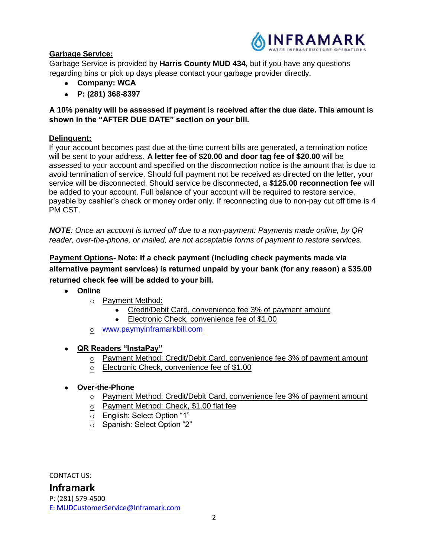

# **Garbage Service:**

Garbage Service is provided by **Harris County MUD 434,** but if you have any questions regarding bins or pick up days please contact your garbage provider directly.

- **Company: WCA**
- **• P:** (281) 368-8397

**A 10% penalty will be assessed if payment is received after the due date. This amount is shown in the "AFTER DUE DATE" section on your bill.**

#### **Delinquent:**

If your account becomes past due at the time current bills are generated, a termination notice will be sent to your address. **A letter fee of \$20.00 and door tag fee of \$20.00** will be assessed to your account and specified on the disconnection notice is the amount that is due to avoid termination of service. Should full payment not be received as directed on the letter, your service will be disconnected. Should service be disconnected, a **\$125.00 reconnection fee** will be added to your account. Full balance of your account will be required to restore service, payable by cashier's check or money order only. If reconnecting due to non-pay cut off time is 4 PM CST.

*NOTE: Once an account is turned off due to a non-payment: Payments made online, by QR reader, over-the-phone, or mailed, are not acceptable forms of payment to restore services.*

**Payment Options Note: If a check payment (including check payments made via alternative payment services) is returned unpaid by your bank (for any reason) a \$35.00 returned check fee will be added to your bill.**

- **Online**
	- o Payment Method:
		- Credit/Debit Card, convenience fee 3% of payment amount
		- Electronic Check, convenience fee of \$1.00
	- o www.paymyinframarkbill.com

## • **QR Readers "InstaPay"**

- o Payment Method: Credit/Debit Card, convenience fee 3% of payment amount
- o Electronic Check, convenience fee of \$1.00

#### • **Over-the-Phone**

- o Payment Method: Credit/Debit Card, convenience fee 3% of payment amount
- o Payment Method: Check, \$1.00 flat fee
- o English: Select Option "1"
- $\overline{\circ}$  Spanish: Select Option "2"

CONTACT US:

**Inframark** P: (281) 579-4500 E: MUDCustomerService@Inframark.com